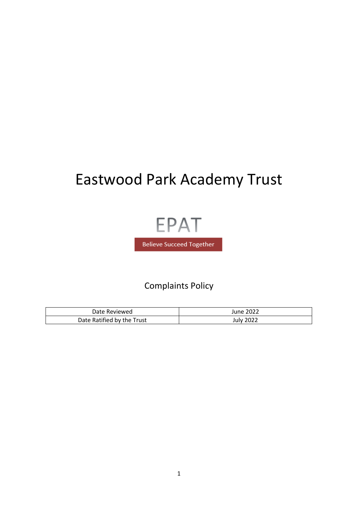# Eastwood Park Academy Trust



# Complaints Policy

| Date Reviewed              | June 2022        |
|----------------------------|------------------|
| Date Ratified by the Trust | <b>July 2022</b> |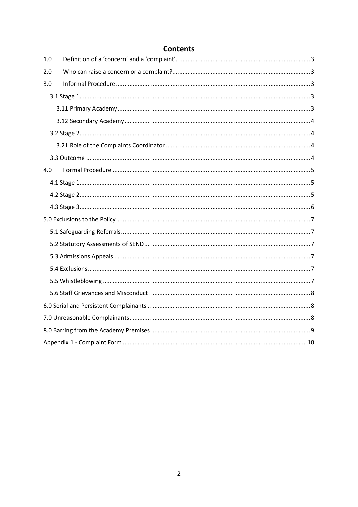| 1.0 |  |  |
|-----|--|--|
| 2.0 |  |  |
| 3.0 |  |  |
|     |  |  |
|     |  |  |
|     |  |  |
|     |  |  |
|     |  |  |
|     |  |  |
| 4.0 |  |  |
|     |  |  |
|     |  |  |
|     |  |  |
|     |  |  |
|     |  |  |
|     |  |  |
|     |  |  |
|     |  |  |
|     |  |  |
|     |  |  |
|     |  |  |
|     |  |  |
|     |  |  |
|     |  |  |

## **Contents**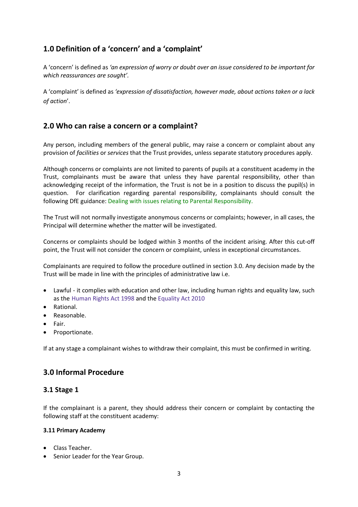## <span id="page-2-0"></span>**1.0 Definition of a 'concern' and a 'complaint'**

A 'concern' is defined as *'an expression of worry or doubt over an issue considered to be important for which reassurances are sought'.*

A 'complaint' is defined as *'expression of dissatisfaction, however made, about actions taken or a lack of action*'.

## <span id="page-2-1"></span>**2.0 Who can raise a concern or a complaint?**

Any person, including members of the general public, may raise a concern or complaint about any provision of *facilities* or *services* that the Trust provides, unless separate statutory procedures apply.

Although concerns or complaints are not limited to parents of pupils at a constituent academy in the Trust, complainants must be aware that unless they have parental responsibility, other than acknowledging receipt of the information, the Trust is not be in a position to discuss the pupil(s) in question. For clarification regarding parental responsibility, complainants should consult the following DfE guidance[: Dealing with issues relating to Parental Responsibility.](https://www.gov.uk/government/publications/dealing-with-issues-relating-to-parental-responsibility)

The Trust will not normally investigate anonymous concerns or complaints; however, in all cases, the Principal will determine whether the matter will be investigated.

Concerns or complaints should be lodged within 3 months of the incident arising. After this cut-off point, the Trust will not consider the concern or complaint, unless in exceptional circumstances.

Complainants are required to follow the procedure outlined in section 3.0. Any decision made by the Trust will be made in line with the principles of administrative law i.e.

- Lawful it complies with education and other law, including human rights and equality law, such as the [Human](http://www.legislation.gov.uk/ukpga/1998/42/contents) Rights Act 1998 and the [Equality](http://www.legislation.gov.uk/ukpga/2010/15/contents) Act 2010
- Rational.
- Reasonable.
- Fair.
- Proportionate.

<span id="page-2-2"></span>If at any stage a complainant wishes to withdraw their complaint, this must be confirmed in writing.

## **3.0 Informal Procedure**

#### <span id="page-2-3"></span>**3.1 Stage 1**

If the complainant is a parent, they should address their concern or complaint by contacting the following staff at the constituent academy:

#### <span id="page-2-4"></span>**3.11 Primary Academy**

- Class Teacher.
- Senior Leader for the Year Group.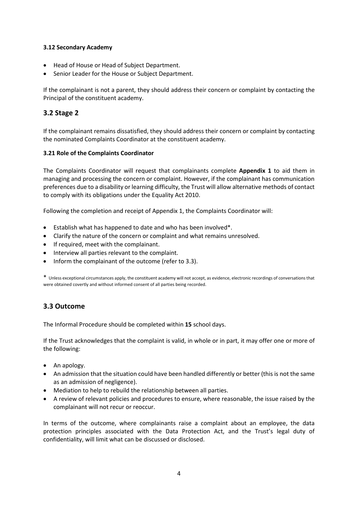#### <span id="page-3-0"></span>**3.12 Secondary Academy**

- Head of House or Head of Subject Department.
- Senior Leader for the House or Subject Department.

If the complainant is not a parent, they should address their concern or complaint by contacting the Principal of the constituent academy.

#### <span id="page-3-1"></span>**3.2 Stage 2**

If the complainant remains dissatisfied, they should address their concern or complaint by contacting the nominated Complaints Coordinator at the constituent academy.

#### <span id="page-3-2"></span>**3.21 Role of the Complaints Coordinator**

The Complaints Coordinator will request that complainants complete **Appendix 1** to aid them in managing and processing the concern or complaint. However, if the complainant has communication preferences due to a disability or learning difficulty, the Trust will allow alternative methods of contact to comply with its obligations under the Equality Act 2010.

Following the completion and receipt of Appendix 1, the Complaints Coordinator will:

- Establish what has happened to date and who has been involved\*.
- Clarify the nature of the concern or complaint and what remains unresolved.
- If required, meet with the complainant.
- Interview all parties relevant to the complaint.
- Inform the complainant of the outcome (refer to 3.3).

\* Unless exceptional circumstances apply, the constituent academy will not accept, as evidence, electronic recordings of conversations that were obtained covertly and without informed consent of all parties being recorded.

#### <span id="page-3-3"></span>**3.3 Outcome**

The Informal Procedure should be completed within **15** school days.

If the Trust acknowledges that the complaint is valid, in whole or in part, it may offer one or more of the following:

- An apology.
- An admission that the situation could have been handled differently or better (this is not the same as an admission of negligence).
- Mediation to help to rebuild the relationship between all parties.
- A review of relevant policies and procedures to ensure, where reasonable, the issue raised by the complainant will not recur or reoccur.

In terms of the outcome, where complainants raise a complaint about an employee, the data protection principles associated with the Data Protection Act, and the Trust's legal duty of confidentiality, will limit what can be discussed or disclosed.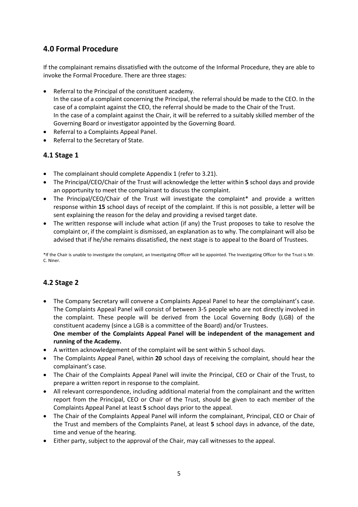## <span id="page-4-0"></span>**4.0 Formal Procedure**

If the complainant remains dissatisfied with the outcome of the Informal Procedure, they are able to invoke the Formal Procedure. There are three stages:

- Referral to the Principal of the constituent academy. In the case of a complaint concerning the Principal, the referral should be made to the CEO. In the case of a complaint against the CEO, the referral should be made to the Chair of the Trust. In the case of a complaint against the Chair, it will be referred to a suitably skilled member of the Governing Board or investigator appointed by the Governing Board.
- Referral to a Complaints Appeal Panel.
- Referral to the Secretary of State.

#### <span id="page-4-1"></span>**4.1 Stage 1**

- The complainant should complete Appendix 1 (refer to 3.21).
- The Principal/CEO/Chair of the Trust will acknowledge the letter within **5** school days and provide an opportunity to meet the complainant to discuss the complaint.
- The Principal/CEO/Chair of the Trust will investigate the complaint\* and provide a written response within **15** school days of receipt of the complaint. If this is not possible, a letter will be sent explaining the reason for the delay and providing a revised target date.
- The written response will include what action (if any) the Trust proposes to take to resolve the complaint or, if the complaint is dismissed, an explanation as to why. The complainant will also be advised that if he/she remains dissatisfied, the next stage is to appeal to the Board of Trustees.

\*If the Chair is unable to investigate the complaint, an Investigating Officer will be appointed. The Investigating Officer for the Trust is Mr. C. Niner.

#### <span id="page-4-2"></span>**4.2 Stage 2**

- The Company Secretary will convene a Complaints Appeal Panel to hear the complainant's case. The Complaints Appeal Panel will consist of between 3-5 people who are not directly involved in the complaint. These people will be derived from the Local Governing Body (LGB) of the constituent academy (since a LGB is a committee of the Board) and/or Trustees. **One member of the Complaints Appeal Panel will be independent of the management and running of the Academy.**
- A written acknowledgement of the complaint will be sent within 5 school days.
- The Complaints Appeal Panel, within **20** school days of receiving the complaint, should hear the complainant's case.
- The Chair of the Complaints Appeal Panel will invite the Principal, CEO or Chair of the Trust, to prepare a written report in response to the complaint.
- All relevant correspondence, including additional material from the complainant and the written report from the Principal, CEO or Chair of the Trust, should be given to each member of the Complaints Appeal Panel at least **5** school days prior to the appeal.
- The Chair of the Complaints Appeal Panel will inform the complainant, Principal, CEO or Chair of the Trust and members of the Complaints Panel, at least **5** school days in advance, of the date, time and venue of the hearing.
- Either party, subject to the approval of the Chair, may call witnesses to the appeal.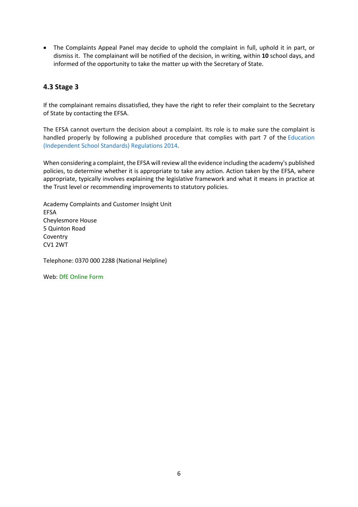• The Complaints Appeal Panel may decide to uphold the complaint in full, uphold it in part, or dismiss it. The complainant will be notified of the decision, in writing, within **10** school days, and informed of the opportunity to take the matter up with the Secretary of State.

## <span id="page-5-0"></span>**4.3 Stage 3**

If the complainant remains dissatisfied, they have the right to refer their complaint to the Secretary of State by contacting the EFSA.

The EFSA cannot overturn the decision about a complaint. Its role is to make sure the complaint is handled properly by following a published procedure that complies with part 7 of the [Education](http://www.legislation.gov.uk/uksi/2014/3283/schedule/made) [\(Independent](http://www.legislation.gov.uk/uksi/2014/3283/schedule/made) School Standards) Regulations 2014.

When considering a complaint, the EFSA will review all the evidence including the academy's published policies, to determine whether it is appropriate to take any action. Action taken by the EFSA, where appropriate, typically involves explaining the legislative framework and what it means in practice at the Trust level or recommending improvements to statutory policies.

Academy Complaints and Customer Insight Unit EFSA Cheylesmore House 5 Quinton Road Coventry CV1 2WT

Telephone: 0370 000 2288 (National Helpline)

Web[: DfE Online Form](https://form.education.gov.uk/service/Contact_the_Department_for_Education)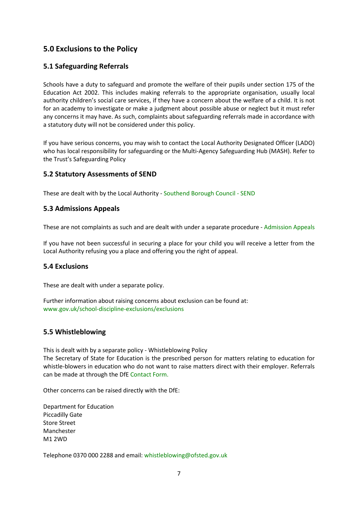## <span id="page-6-0"></span>**5.0 Exclusions to the Policy**

#### <span id="page-6-1"></span>**5.1 Safeguarding Referrals**

Schools have a duty to safeguard and promote the welfare of their pupils under section 175 of the Education Act 2002. This includes making referrals to the appropriate organisation, usually local authority children's social care services, if they have a concern about the welfare of a child. It is not for an academy to investigate or make a judgment about possible abuse or neglect but it must refer any concerns it may have. As such, complaints about safeguarding referrals made in accordance with a statutory duty will not be considered under this policy.

If you have serious concerns, you may wish to contact the Local Authority Designated Officer (LADO) who has local responsibility for safeguarding or the Multi-Agency Safeguarding Hub (MASH). Refer to the Trust's [Safeguarding Policy](http://www.eastwoodacademy.co.uk/docs/EPAT%20Safeguarding%20Policy18v31.pdf) 

#### <span id="page-6-2"></span>**5.2 Statutory Assessments of SEND**

These are dealt with by the Local Authority - [Southend Borough Council -](https://www.southend.gov.uk/info/200225/children_with_disabilities/290/special_educational_needs) SEND

#### <span id="page-6-3"></span>**5.3 Admissions Appeals**

These are not complaints as such and are dealt with under a separate procedure - [Admission Appeals](https://www.gov.uk/schools-admissions/appealing-a-schools-decision)

If you have not been successful in securing a place for your child you will receive a letter from the Local Authority refusing you a place and offering you the right of appeal.

#### <span id="page-6-4"></span>**5.4 Exclusions**

These are dealt with under a separate policy.

Further information about raising concerns about exclusion can be found at: [www.gov.uk/school-discipline-exclusions/exclusions](http://www.gov.uk/school-discipline-exclusions/exclusions)

#### <span id="page-6-5"></span>**5.5 Whistleblowing**

This is dealt with by a separate policy - [Whistleblowing Policy](http://www.eastwoodacademy.co.uk/docs/EPAT%20Whistleblowing%20Policy18.pdf) The Secretary of State for Education is the prescribed person for matters relating to education for whistle-blowers in education who do not want to raise matters direct with their employer. Referrals can be made at through the DfE [Contact Form.](https://www.education.gov.uk/contactus)

Other concerns can be raised directly with the DfE:

Department for Education Piccadilly Gate Store Street Manchester M1 2WD

Telephone 0370 000 2288 and email: [whistleblowing@ofsted.gov.uk](mailto:whistleblowing@ofsted.gov.uk)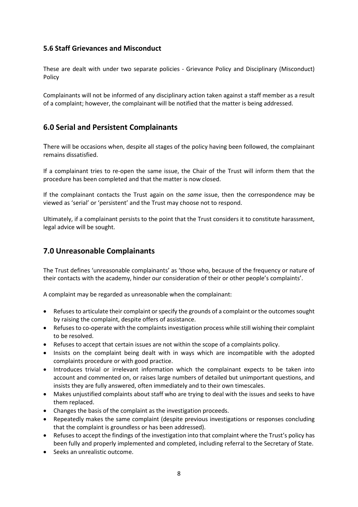#### <span id="page-7-0"></span>**5.6 Staff Grievances and Misconduct**

These are dealt with under two separate policies - [Grievance Policy](http://www.eastwoodacademy.co.uk/docs/EPAT%20Grievance%20Policy18.pdf) and [Disciplinary \(Misconduct\)](http://www.eastwoodacademy.co.uk/docs/EPAT%20Disciplinary%20Misconduct%20Policy18.pdf) [Policy](http://www.eastwoodacademy.co.uk/docs/EPAT%20Disciplinary%20Misconduct%20Policy18.pdf) 

Complainants will not be informed of any disciplinary action taken against a staff member as a result of a complaint; however, the complainant will be notified that the matter is being addressed.

## <span id="page-7-1"></span>**6.0 Serial and Persistent Complainants**

There will be occasions when, despite all stages of the policy having been followed, the complainant remains dissatisfied.

If a complainant tries to re-open the same issue, the Chair of the Trust will inform them that the procedure has been completed and that the matter is now closed.

If the complainant contacts the Trust again on the *same* issue, then the correspondence may be viewed as 'serial' or 'persistent' and the Trust may choose not to respond.

<span id="page-7-2"></span>Ultimately, if a complainant persists to the point that the Trust considers it to constitute harassment, legal advice will be sought.

## **7.0 Unreasonable Complainants**

The Trust defines 'unreasonable complainants' as 'those who, because of the frequency or nature of their contacts with the academy, hinder our consideration of their or other people's complaints'.

A complaint may be regarded as unreasonable when the complainant:

- Refuses to articulate their complaint or specify the grounds of a complaint or the outcomes sought by raising the complaint, despite offers of assistance.
- Refuses to co-operate with the complaints investigation process while still wishing their complaint to be resolved.
- Refuses to accept that certain issues are not within the scope of a complaints policy.
- Insists on the complaint being dealt with in ways which are incompatible with the adopted complaints procedure or with good practice.
- Introduces trivial or irrelevant information which the complainant expects to be taken into account and commented on, or raises large numbers of detailed but unimportant questions, and insists they are fully answered, often immediately and to their own timescales.
- Makes unjustified complaints about staff who are trying to deal with the issues and seeks to have them replaced.
- Changes the basis of the complaint as the investigation proceeds.
- Repeatedly makes the same complaint (despite previous investigations or responses concluding that the complaint is groundless or has been addressed).
- Refuses to accept the findings of the investigation into that complaint where the Trust's policy has been fully and properly implemented and completed, including referral to the Secretary of State.
- Seeks an unrealistic outcome.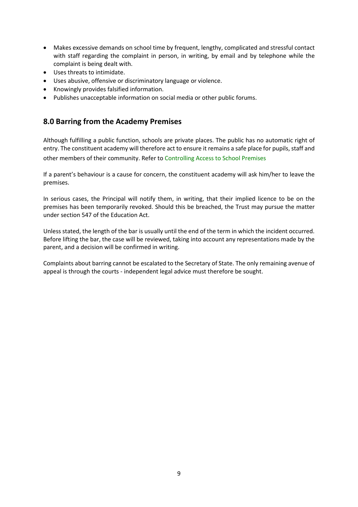- Makes excessive demands on school time by frequent, lengthy, complicated and stressful contact with staff regarding the complaint in person, in writing, by email and by telephone while the complaint is being dealt with.
- Uses threats to intimidate.
- Uses abusive, offensive or discriminatory language or violence.
- Knowingly provides falsified information.
- <span id="page-8-0"></span>• Publishes unacceptable information on social media or other public forums.

## **8.0 Barring from the Academy Premises**

Although fulfilling a public function, schools are private places. The public has no automatic right of entry. The constituent academy will therefore act to ensure it remains a safe place for pupils, staff and other members of their community. Refer to [Controlling Access to School Premises](https://www.gov.uk/government/publications/controlling-access-to-school-premises)

If a parent's behaviour is a cause for concern, the constituent academy will ask him/her to leave the premises.

In serious cases, the Principal will notify them, in writing, that their implied licence to be on the premises has been temporarily revoked. Should this be breached, the Trust may pursue the matter under section 547 of the Education Act.

Unless stated, the length of the bar is usually until the end of the term in which the incident occurred. Before lifting the bar, the case will be reviewed, taking into account any representations made by the parent, and a decision will be confirmed in writing.

Complaints about barring cannot be escalated to the Secretary of State. The only remaining avenue of appeal is through the courts - independent legal advice must therefore be sought.